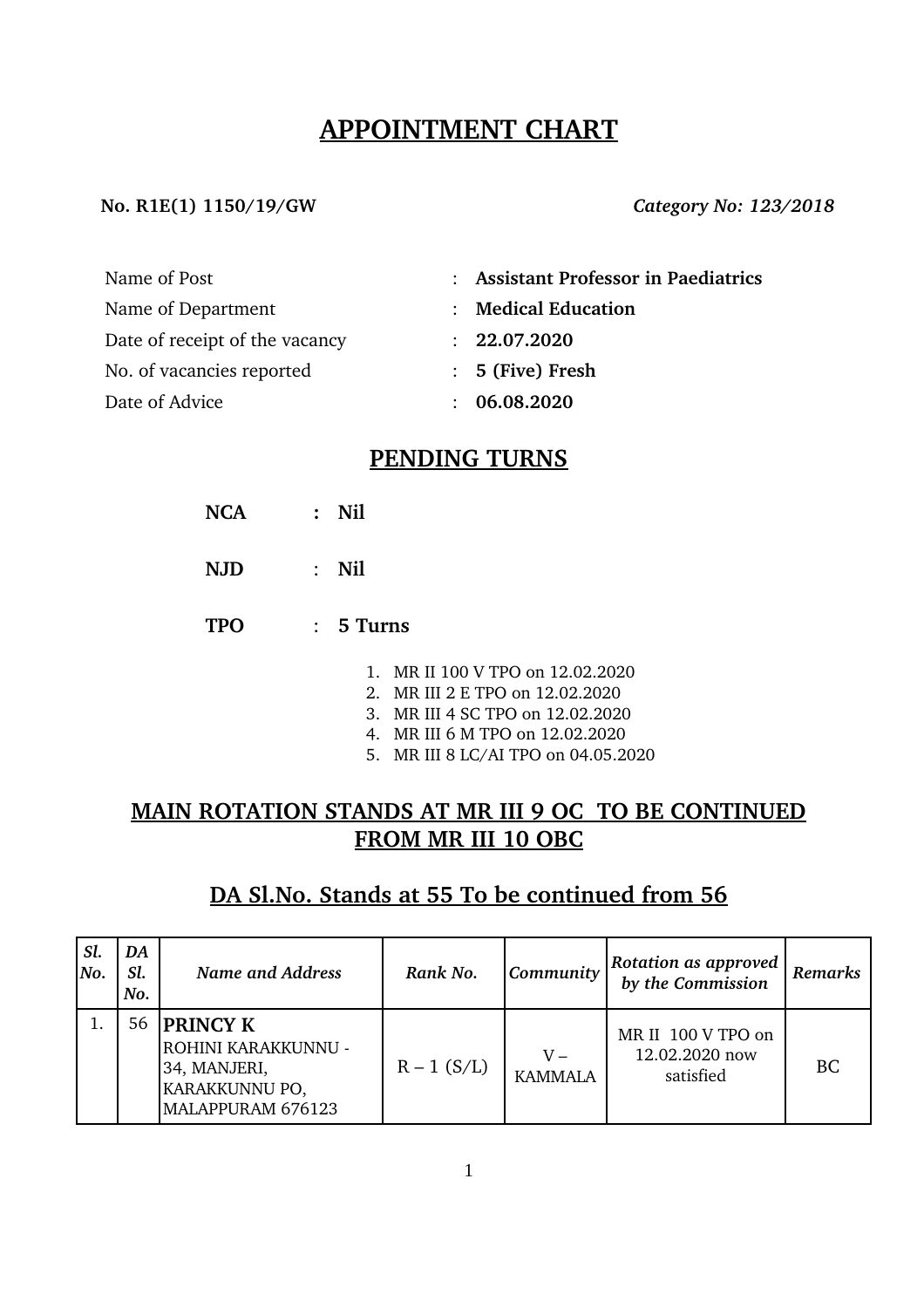# **APPOINTMENT CHART**

#### **No. R1E(1) 1150/19/GW** *Category No: 123/2018*

| Name of Post                   | : Assistant Professor in Paediatrics |
|--------------------------------|--------------------------------------|
| Name of Department             | : Medical Education                  |
| Date of receipt of the vacancy | : 22.07.2020                         |
| No. of vacancies reported      | $: 5$ (Five) Fresh                   |
| Date of Advice                 | : 06.08.2020                         |

## **PENDING TURNS**

- **NCA : Nil**
- **NJD** : **Nil**
- **TPO** : **5 Turns**
	- 1. MR II 100 V TPO on 12.02.2020
	- 2. MR III 2 E TPO on 12.02.2020
	- 3. MR III 4 SC TPO on 12.02.2020
	- 4. MR III 6 M TPO on 12.02.2020
	- 5. MR III 8 LC/AI TPO on 04.05.2020

# **MAIN ROTATION STANDS AT MR III 9 OC TO BE CONTINUED FROM MR III 10 OBC**

## **DA Sl.No. Stands at 55 To be continued from 56**

| Sl.<br> No. | DA<br>Sl.<br>No. | <b>Name and Address</b>                                                                       | Rank No.      | Community               | Rotation as approved<br>by the Commission         | Remarks |
|-------------|------------------|-----------------------------------------------------------------------------------------------|---------------|-------------------------|---------------------------------------------------|---------|
|             | 56               | <b>PRINCY K</b><br>ROHINI KARAKKUNNU -<br>34, MANJERI,<br>KARAKKUNNU PO,<br>MALAPPURAM 676123 | $R - 1$ (S/L) | $V -$<br><b>KAMMALA</b> | MR II 100 V TPO on<br>12.02.2020 now<br>satisfied | BC      |